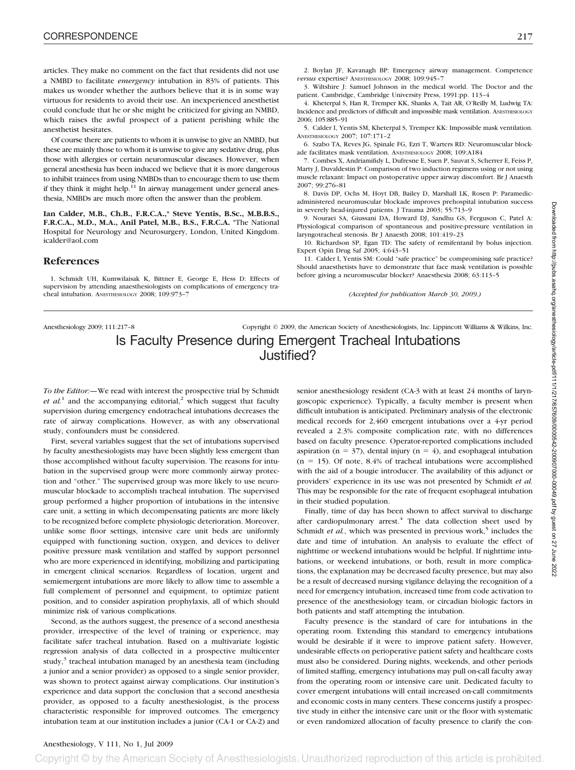articles. They make no comment on the fact that residents did not use a NMBD to facilitate *emergency* intubation in 83% of patients. This makes us wonder whether the authors believe that it is in some way virtuous for residents to avoid their use. An inexperienced anesthetist could conclude that he or she might be criticized for giving an NMBD, which raises the awful prospect of a patient perishing while the anesthetist hesitates.

Of course there are patients to whom it is unwise to give an NMBD, but these are mainly those to whom it is unwise to give any sedative drug, plus those with allergies or certain neuromuscular diseases. However, when general anesthesia has been induced we believe that it is more dangerous to inhibit trainees from using NMBDs than to encourage them to use them if they think it might help. $11$  In airway management under general anesthesia, NMBDs are much more often the answer than the problem.

**Ian Calder, M.B., Ch.B., F.R.C.A.,\* Steve Yentis, B.Sc., M.B.B.S., F.R.C.A., M.D., M.A., Anil Patel, M.B., B.S., F.R.C.A.** \*The National Hospital for Neurology and Neurosurgery, London, United Kingdom. icalder@aol.com

## **References**

1. Schmidt UH, Kumwilaisak K, Bittner E, George E, Hess D: Effects of supervision by attending anaesthesiologists on complications of emergency tracheal intubation. ANESTHESIOLOGY 2008; 109:973–7

3. Wiltshire J: Samuel Johnson in the medical world. The Doctor and the patient. Cambridge, Cambridge University Press, 1991:pp. 113–4

4. Kheterpal S, Han R, Tremper KK, Shanks A, Tait AR, O'Reilly M, Ludwig TA: Incidence and predictors of difficult and impossible mask ventilation. ANESTHESIOLOGY 2006; 105:885–91

5. Calder I, Yentis SM, Kheterpal S, Tremper KK: Impossible mask ventilation. ANESTHESIOLOGY 2007; 107:171–2

6. Szabo TA, Reves JG, Spinale FG, Ezri T, Warters RD: Neuromuscular blockade facilitates mask ventilation. ANESTHESIOLOGY 2008; 109:A184

7. Combes X, Andriamifidy L, Dufresne E, Suen P, Sauvat S, Scherrer E, Feiss P, Marty J, Duvaldestin P: Comparison of two induction regimens using or not using muscle relaxant: Impact on postoperative upper airway discomfort. Br J Anaesth 2007; 99:276–81

8. Davis DP, Ochs M, Hoyt DB, Bailey D, Marshall LK, Rosen P: Paramedicadministered neuromuscular blockade improves prehospital intubation success in severely head-injured patients. J Trauma 2003; 55:713–9

9. Nouraei SA, Giussani DA, Howard DJ, Sandhu GS, Ferguson C, Patel A: Physiological comparison of spontaneous and positive-pressure ventilation in laryngotracheal stenosis. Br J Anaesth 2008; 101:419–23

10. Richardson SP, Egan TD: The safety of remifentanil by bolus injection. Expert Opin Drug Saf 2005; 4:643–51

11. Calder I, Yentis SM: Could "safe practice" be compromising safe practice? Should anaesthetists have to demonstrate that face mask ventilation is possible before giving a neuromuscular blocker? Anaesthesia 2008; 63:113–5

*(Accepted for publication March 30, 2009.)*

# Anesthesiology 2009; 111:217–8 Copyright © 2009, the American Society of Anesthesiologists, Inc. Lippincott Williams & Wilkins, Inc. Is Faculty Presence during Emergent Tracheal Intubations Justified?

*To the Editor:—*We read with interest the prospective trial by Schmidt  $et$   $al$ <sup>1</sup> and the accompanying editorial,<sup>2</sup> which suggest that faculty supervision during emergency endotracheal intubations decreases the rate of airway complications. However, as with any observational study, confounders must be considered.

First, several variables suggest that the set of intubations supervised by faculty anesthesiologists may have been slightly less emergent than those accomplished without faculty supervision. The reasons for intubation in the supervised group were more commonly airway protection and "other." The supervised group was more likely to use neuromuscular blockade to accomplish tracheal intubation. The supervised group performed a higher proportion of intubations in the intensive care unit, a setting in which decompensating patients are more likely to be recognized before complete physiologic deterioration. Moreover, unlike some floor settings, intensive care unit beds are uniformly equipped with functioning suction, oxygen, and devices to deliver positive pressure mask ventilation and staffed by support personnel who are more experienced in identifying, mobilizing and participating in emergent clinical scenarios. Regardless of location, urgent and semiemergent intubations are more likely to allow time to assemble a full complement of personnel and equipment, to optimize patient position, and to consider aspiration prophylaxis, all of which should minimize risk of various complications.

Second, as the authors suggest, the presence of a second anesthesia provider, irrespective of the level of training or experience, may facilitate safer tracheal intubation. Based on a multivariate logistic regression analysis of data collected in a prospective multicenter study,<sup>3</sup> tracheal intubation managed by an anesthesia team (including a junior and a senior provider) as opposed to a single senior provider, was shown to protect against airway complications. Our institution's experience and data support the conclusion that a second anesthesia provider, as opposed to a faculty anesthesiologist, is the process characteristic responsible for improved outcomes. The emergency intubation team at our institution includes a junior (CA-1 or CA-2) and

senior anesthesiology resident (CA-3 with at least 24 months of laryngoscopic experience). Typically, a faculty member is present when difficult intubation is anticipated. Preliminary analysis of the electronic medical records for 2,460 emergent intubations over a 4-yr period revealed a 2.3% composite complication rate, with no differences based on faculty presence. Operator-reported complications included aspiration ( $n = 37$ ), dental injury ( $n = 4$ ), and esophageal intubation  $(n = 15)$ . Of note, 8.4% of tracheal intubations were accomplished with the aid of a bougie introducer. The availability of this adjunct or providers' experience in its use was not presented by Schmidt *et al.* This may be responsible for the rate of frequent esophageal intubation in their studied population.

Finally, time of day has been shown to affect survival to discharge after cardiopulmonary arrest. $4$  The data collection sheet used by Schmidt *et al.*, which was presented in previous work,<sup>5</sup> includes the date and time of intubation. An analysis to evaluate the effect of nighttime or weekend intubations would be helpful. If nighttime intubations, or weekend intubations, or both, result in more complications, the explanation may be decreased faculty presence, but may also be a result of decreased nursing vigilance delaying the recognition of a need for emergency intubation, increased time from code activation to presence of the anesthesiology team, or circadian biologic factors in both patients and staff attempting the intubation.

Faculty presence is the standard of care for intubations in the operating room. Extending this standard to emergency intubations would be desirable if it were to improve patient safety. However, undesirable effects on perioperative patient safety and healthcare costs must also be considered. During nights, weekends, and other periods of limited staffing, emergency intubations may pull on-call faculty away from the operating room or intensive care unit. Dedicated faculty to cover emergent intubations will entail increased on-call commitments and economic costs in many centers. These concerns justify a prospective study in either the intensive care unit or the floor with systematic or even randomized allocation of faculty presence to clarify the con-

## Anesthesiology, V 111, No 1, Jul 2009

Copyright © by the American Society of Anesthesiologists. Unauthorized reproduction of this article is prohibited.